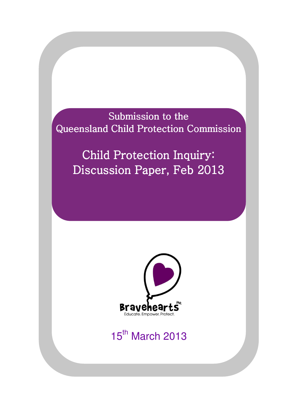Submission to the Queensland Child Protection Commission

Child Protection Inquiry: Discussion Paper, Feb 2013



# 15th March 2013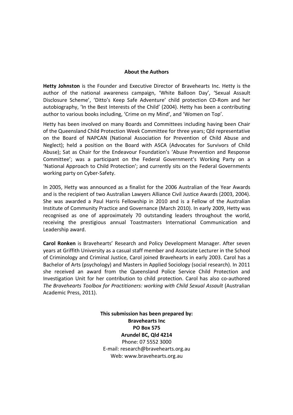#### About the Authors

Hetty Johnston is the Founder and Executive Director of Bravehearts Inc. Hetty is the author of the national awareness campaign, 'White Balloon Day', 'Sexual Assault Disclosure Scheme', 'Ditto's Keep Safe Adventure' child protection CD-Rom and her autobiography, 'In the Best Interests of the Child' (2004). Hetty has been a contributing author to various books including, 'Crime on my Mind', and 'Women on Top'.

Hetty has been involved on many Boards and Committees including having been Chair of the Queensland Child Protection Week Committee for three years; Qld representative on the Board of NAPCAN (National Association for Prevention of Child Abuse and Neglect); held a position on the Board with ASCA (Advocates for Survivors of Child Abuse); Sat as Chair for the Endeavour Foundation's 'Abuse Prevention and Response Committee'; was a participant on the Federal Government's Working Party on a 'National Approach to Child Protection'; and currently sits on the Federal Governments working party on Cyber-Safety.

In 2005, Hetty was announced as a finalist for the 2006 Australian of the Year Awards and is the recipient of two Australian Lawyers Alliance Civil Justice Awards (2003, 2004). She was awarded a Paul Harris Fellowship in 2010 and is a Fellow of the Australian Institute of Community Practice and Governance (March 2010). In early 2009, Hetty was recognised as one of approximately 70 outstanding leaders throughout the world, receiving the prestigious annual Toastmasters International Communication and Leadership award.

Carol Ronken is Bravehearts' Research and Policy Development Manager. After seven years at Griffith University as a casual staff member and Associate Lecturer in the School of Criminology and Criminal Justice, Carol joined Bravehearts in early 2003. Carol has a Bachelor of Arts (psychology) and Masters in Applied Sociology (social research). In 2011 she received an award from the Queensland Police Service Child Protection and Investigation Unit for her contribution to child protection. Carol has also co-authored The Bravehearts Toolbox for Practitioners: working with Child Sexual Assault (Australian Academic Press, 2011).

> This submission has been prepared by: Bravehearts Inc PO Box 575 Arundel BC, Qld 4214 Phone: 07 5552 3000 E-mail: research@bravehearts.org.au Web: www.bravehearts.org.au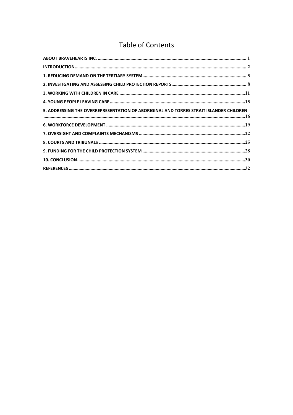### **Table of Contents**

| 5. ADDRESSING THE OVERREPRESENTATION OF ABORIGINAL AND TORRES STRAIT ISLANDER CHILDREN |
|----------------------------------------------------------------------------------------|
|                                                                                        |
|                                                                                        |
|                                                                                        |
|                                                                                        |
|                                                                                        |
|                                                                                        |
|                                                                                        |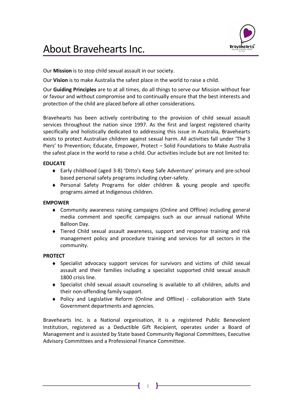

# About Bravehearts Inc.

Our Mission is to stop child sexual assault in our society.

Our Vision is to make Australia the safest place in the world to raise a child.

Our Guiding Principles are to at all times, do all things to serve our Mission without fear or favour and without compromise and to continually ensure that the best interests and protection of the child are placed before all other considerations.

Bravehearts has been actively contributing to the provision of child sexual assault services throughout the nation since 1997. As the first and largest registered charity specifically and holistically dedicated to addressing this issue in Australia, Bravehearts exists to protect Australian children against sexual harm. All activities fall under 'The 3 Piers' to Prevention; Educate, Empower, Protect – Solid Foundations to Make Australia the safest place in the world to raise a child. Our activities include but are not limited to:

#### EDUCATE

- ♦ Early childhood (aged 3-8) 'Ditto's Keep Safe Adventure' primary and pre-school based personal safety programs including cyber-safety.
- ♦ Personal Safety Programs for older children & young people and specific programs aimed at Indigenous children.

#### EMPOWER

- ♦ Community awareness raising campaigns (Online and Offline) including general media comment and specific campaigns such as our annual national White Balloon Day.
- ♦ Tiered Child sexual assault awareness, support and response training and risk management policy and procedure training and services for all sectors in the community.

#### PROTECT

- ♦ Specialist advocacy support services for survivors and victims of child sexual assault and their families including a specialist supported child sexual assault 1800 crisis line.
- ♦ Specialist child sexual assault counseling is available to all children, adults and their non-offending family support.
- ♦ Policy and Legislative Reform (Online and Offline) collaboration with State Government departments and agencies.

Bravehearts Inc. is a National organisation, it is a registered Public Benevolent Institution, registered as a Deductible Gift Recipient, operates under a Board of Management and is assisted by State based Community Regional Committees, Executive Advisory Committees and a Professional Finance Committee.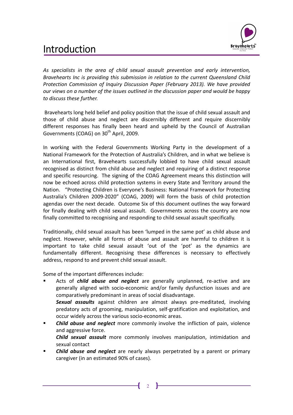# Introduction



As specialists in the area of child sexual assault prevention and early intervention, Bravehearts Inc is providing this submission in relation to the current Queensland Child Protection Commission of Inquiry Discussion Paper (February 2013). We have provided our views on a number of the issues outlined in the discussion paper and would be happy to discuss these further.

 Bravehearts long held belief and policy position that the issue of child sexual assault and those of child abuse and neglect are discernibly different and require discernibly different responses has finally been heard and upheld by the Council of Australian Governments (COAG) on 30<sup>th</sup> April, 2009.

In working with the Federal Governments Working Party in the development of a National Framework for the Protection of Australia's Children, and in what we believe is an International first, Bravehearts successfully lobbied to have child sexual assault recognised as distinct from child abuse and neglect and requiring of a distinct response and specific resourcing. The signing of the COAG Agreement means this distinction will now be echoed across child protection systems in every State and Territory around the Nation. "Protecting Children is Everyone's Business: National Framework for Protecting Australia's Children 2009-2020" (COAG, 2009) will form the basis of child protection agendas over the next decade. Outcome Six of this document outlines the way forward for finally dealing with child sexual assault. Governments across the country are now finally committed to recognising and responding to child sexual assault specifically.

Traditionally, child sexual assault has been 'lumped in the same pot' as child abuse and neglect. However, while all forms of abuse and assault are harmful to children it is important to take child sexual assault 'out of the 'pot' as the dynamics are fundamentally different. Recognising these differences is necessary to effectively address, respond to and prevent child sexual assault.

Some of the important differences include:

sexual contact

- Acts of *child abuse and neglect* are generally unplanned, re-active and are generally aligned with socio-economic and/or family dysfunction issues and are comparatively predominant in areas of social disadvantage. Sexual assaults against children are almost always pre-meditated, involving predatory acts of grooming, manipulation, self-gratification and exploitation, and occur widely across the various socio-economic areas.
- **Child abuse and neglect** more commonly involve the infliction of pain, violence and aggressive force. Child sexual assault more commonly involves manipulation, intimidation and
- **Child abuse and neglect** are nearly always perpetrated by a parent or primary caregiver (in an estimated 90% of cases).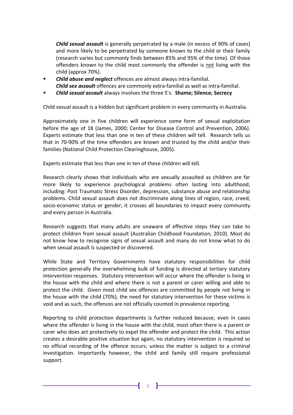**Child sexual assault** is generally perpetrated by a male (in excess of 90% of cases) and more likely to be perpetrated by someone known to the child or their family (research varies but commonly finds between 85% and 95% of the time). Of those offenders known to the child most commonly the offender is not living with the child (approx 70%).

- Child abuse and neglect offences are almost always intra-familial. Child sex assault offences are commonly extra-familial as well as intra-familial.
- Child sexual assault always involves the three S's: Shame; Silence; Secrecy

Child sexual assault is a hidden but significant problem in every community in Australia.

Approximately one in five children will experience some form of sexual exploitation before the age of 18 (James, 2000; Center for Disease Control and Prevention, 2006). Experts estimate that less than one in ten of these children will tell. Research tells us that in 70-90% of the time offenders are known and trusted by the child and/or their families (National Child Protection Clearinghouse, 2005).

Experts estimate that less than one in ten of these children will tell.

Research clearly shows that individuals who are sexually assaulted as children are far more likely to experience psychological problems often lasting into adulthood, including: Post Traumatic Stress Disorder, depression, substance abuse and relationship problems. Child sexual assault does not discriminate along lines of region, race, creed, socio-economic status or gender; it crosses all boundaries to impact every community and every person in Australia.

Research suggests that many adults are unaware of effective steps they can take to protect children from sexual assault (Australian Childhood Foundation, 2010). Most do not know how to recognise signs of sexual assault and many do not know what to do when sexual assault is suspected or discovered.

While State and Territory Governments have statutory responsibilities for child protection generally the overwhelming bulk of funding is directed at tertiary statutory intervention responses. Statutory intervention will occur where the offender is living in the house with the child and where there is not a parent or carer willing and able to protect the child. Given most child sex offences are committed by people not living in the house with the child (70%), the need for statutory intervention for these victims is void and as such, the offences are not officially counted in prevalence reporting.

Reporting to child protection departments is further reduced because, even in cases where the offender is living in the house with the child, most often there is a parent or carer who does act protectively to expel the offender and protect the child. This action creates a desirable positive situation but again, no statutory intervention is required so no official recording of the offence occurs; unless the matter is subject to a criminal investigation. Importantly however, the child and family still require professional support.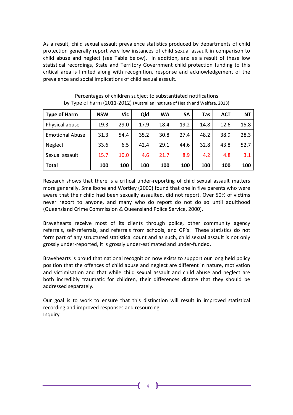As a result, child sexual assault prevalence statistics produced by departments of child protection generally report very low instances of child sexual assault in comparison to child abuse and neglect (see Table below). In addition, and as a result of these low statistical recordings, State and Territory Government child protection funding to this critical area is limited along with recognition, response and acknowledgement of the prevalence and social implications of child sexual assault.

| <b>Type of Harm</b>    | <b>NSW</b> | Vic               | Qld  | <b>WA</b> | <b>SA</b> | Tas  | <b>ACT</b> | <b>NT</b> |
|------------------------|------------|-------------------|------|-----------|-----------|------|------------|-----------|
| Physical abuse         | 19.3       | 29.0              | 17.9 | 18.4      | 19.2      | 14.8 | 12.6       | 15.8      |
| <b>Emotional Abuse</b> | 31.3       | 54.4              | 35.2 | 30.8      | 27.4      | 48.2 | 38.9       | 28.3      |
| <b>Neglect</b>         | 33.6       | 6.5               | 42.4 | 29.1      | 44.6      | 32.8 | 43.8       | 52.7      |
| Sexual assault         | 15.7       | 10.0 <sub>1</sub> | 4.6  | 21.7      | 8.9       | 4.2  | 4.8        | 3.1       |
| <b>Total</b>           | 100        | 100               | 100  | 100       | 100       | 100  | 100        | 100       |

Percentages of children subject to substantiated notifications by Type of harm (2011-2012) (Australian Institute of Health and Welfare, 2013)

Research shows that there is a critical under-reporting of child sexual assault matters more generally. Smallbone and Wortley (2000) found that one in five parents who were aware that their child had been sexually assaulted, did not report. Over 50% of victims never report to anyone, and many who do report do not do so until adulthood (Queensland Crime Commission & Queensland Police Service, 2000).

Bravehearts receive most of its clients through police, other community agency referrals, self-referrals, and referrals from schools, and GP's. These statistics do not form part of any structured statistical count and as such, child sexual assault is not only grossly under-reported, it is grossly under-estimated and under-funded.

Bravehearts is proud that national recognition now exists to support our long held policy position that the offences of child abuse and neglect are different in nature, motivation and victimisation and that while child sexual assault and child abuse and neglect are both incredibly traumatic for children, their differences dictate that they should be addressed separately.

Our goal is to work to ensure that this distinction will result in improved statistical recording and improved responses and resourcing. Inquiry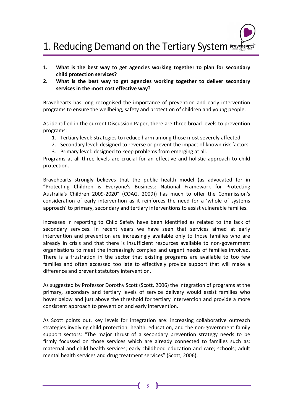# 1. Reducing Demand on the Tertiary System Examble arts

- 1. What is the best way to get agencies working together to plan for secondary child protection services?
- 2. What is the best way to get agencies working together to deliver secondary services in the most cost effective way?

Bravehearts has long recognised the importance of prevention and early intervention programs to ensure the wellbeing, safety and protection of children and young people.

As identified in the current Discussion Paper, there are three broad levels to prevention programs:

- 1. Tertiary level: strategies to reduce harm among those most severely affected.
- 2. Secondary level: designed to reverse or prevent the impact of known risk factors.
- 3. Primary level: designed to keep problems from emerging at all.

Programs at all three levels are crucial for an effective and holistic approach to child protection.

Bravehearts strongly believes that the public health model (as advocated for in "Protecting Children is Everyone's Business: National Framework for Protecting Australia's Children 2009-2020" (COAG, 2009)) has much to offer the Commission's consideration of early intervention as it reinforces the need for a 'whole of systems approach' to primary, secondary and tertiary interventions to assist vulnerable families.

Increases in reporting to Child Safety have been identified as related to the lack of secondary services. In recent years we have seen that services aimed at early intervention and prevention are increasingly available only to those families who are already in crisis and that there is insufficient resources available to non-government organisations to meet the increasingly complex and urgent needs of families involved. There is a frustration in the sector that existing programs are available to too few families and often accessed too late to effectively provide support that will make a difference and prevent statutory intervention.

As suggested by Professor Dorothy Scott (Scott, 2006) the integration of programs at the primary, secondary and tertiary levels of service delivery would assist families who hover below and just above the threshold for tertiary intervention and provide a more consistent approach to prevention and early intervention.

As Scott points out, key levels for integration are: increasing collaborative outreach strategies involving child protection, health, education, and the non-government family support sectors: "The major thrust of a secondary prevention strategy needs to be firmly focussed on those services which are already connected to families such as: maternal and child health services; early childhood education and care; schools; adult mental health services and drug treatment services" (Scott, 2006).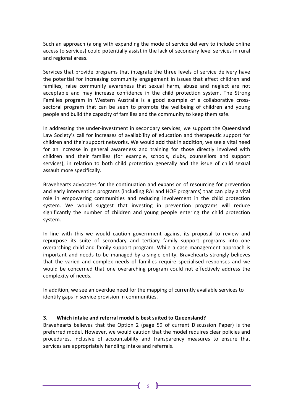Such an approach (along with expanding the mode of service delivery to include online access to services) could potentially assist in the lack of secondary level services in rural and regional areas.

Services that provide programs that integrate the three levels of service delivery have the potential for increasing community engagement in issues that affect children and families, raise community awareness that sexual harm, abuse and neglect are not acceptable and may increase confidence in the child protection system. The Strong Families program in Western Australia is a good example of a collaborative crosssectoral program that can be seen to promote the wellbeing of children and young people and build the capacity of families and the community to keep them safe.

In addressing the under-investment in secondary services, we support the Queensland Law Society's call for increases of availability of education and therapeutic support for children and their support networks. We would add that in addition, we see a vital need for an increase in general awareness and training for those directly involved with children and their families (for example, schools, clubs, counsellors and support services), in relation to both child protection generally and the issue of child sexual assault more specifically.

Bravehearts advocates for the continuation and expansion of resourcing for prevention and early intervention programs (including RAI and HOF programs) that can play a vital role in empowering communities and reducing involvement in the child protection system. We would suggest that investing in prevention programs will reduce significantly the number of children and young people entering the child protection system.

In line with this we would caution government against its proposal to review and repurpose its suite of secondary and tertiary family support programs into one overarching child and family support program. While a case management approach is important and needs to be managed by a single entity, Bravehearts strongly believes that the varied and complex needs of families require specialised responses and we would be concerned that one overarching program could not effectively address the complexity of needs.

In addition, we see an overdue need for the mapping of currently available services to identify gaps in service provision in communities.

#### 3. Which intake and referral model is best suited to Queensland?

Bravehearts believes that the Option 2 (page 59 of current Discussion Paper) is the preferred model. However, we would caution that the model requires clear policies and procedures, inclusive of accountability and transparency measures to ensure that services are appropriately handling intake and referrals.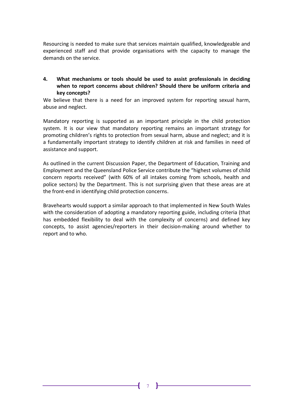Resourcing is needed to make sure that services maintain qualified, knowledgeable and experienced staff and that provide organisations with the capacity to manage the demands on the service.

#### 4. What mechanisms or tools should be used to assist professionals in deciding when to report concerns about children? Should there be uniform criteria and key concepts?

We believe that there is a need for an improved system for reporting sexual harm, abuse and neglect.

Mandatory reporting is supported as an important principle in the child protection system. It is our view that mandatory reporting remains an important strategy for promoting children's rights to protection from sexual harm, abuse and neglect; and it is a fundamentally important strategy to identify children at risk and families in need of assistance and support.

As outlined in the current Discussion Paper, the Department of Education, Training and Employment and the Queensland Police Service contribute the "highest volumes of child concern reports received" (with 60% of all intakes coming from schools, health and police sectors) by the Department. This is not surprising given that these areas are at the front-end in identifying child protection concerns.

Bravehearts would support a similar approach to that implemented in New South Wales with the consideration of adopting a mandatory reporting guide, including criteria (that has embedded flexibility to deal with the complexity of concerns) and defined key concepts, to assist agencies/reporters in their decision-making around whether to report and to who.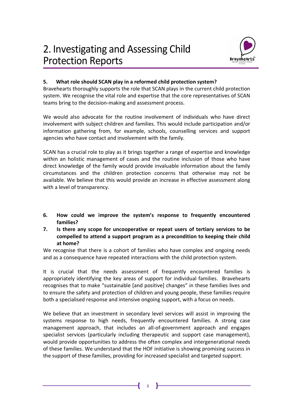

#### 5. What role should SCAN play in a reformed child protection system?

Bravehearts thoroughly supports the role that SCAN plays in the current child protection system. We recognise the vital role and expertise that the core representatives of SCAN teams bring to the decision-making and assessment process.

We would also advocate for the routine involvement of individuals who have direct involvement with subject children and families. This would include participation and/or information gathering from, for example, schools, counselling services and support agencies who have contact and involvement with the family.

SCAN has a crucial role to play as it brings together a range of expertise and knowledge within an holistic management of cases and the routine inclusion of those who have direct knowledge of the family would provide invaluable information about the family circumstances and the children protection concerns that otherwise may not be available. We believe that this would provide an increase in effective assessment along with a level of transparency.

- 6. How could we improve the system's response to frequently encountered families?
- 7. Is there any scope for uncooperative or repeat users of tertiary services to be compelled to attend a support program as a precondition to keeping their child at home?

We recognise that there is a cohort of families who have complex and ongoing needs and as a consequence have repeated interactions with the child protection system.

It is crucial that the needs assessment of frequently encountered families is appropriately identifying the key areas of support for individual families. Bravehearts recognises that to make "sustainable [and positive] changes" in these families lives and to ensure the safety and protection of children and young people, these families require both a specialised response and intensive ongoing support, with a focus on needs.

We believe that an investment in secondary level services will assist in improving the systems response to high needs, frequently encountered families. A strong case management approach, that includes an all-of-government approach and engages specialist services (particularly including therapeutic and support case management), would provide opportunities to address the often complex and intergenerational needs of these families. We understand that the HOF initiative is showing promising success in the support of these families, providing for increased specialist and targeted support.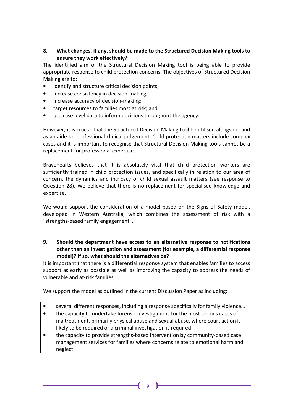#### 8. What changes, if any, should be made to the Structured Decision Making tools to ensure they work effectively?

The identified aim of the Structural Decision Making tool is being able to provide appropriate response to child protection concerns. The objectives of Structured Decision Making are to:

- identify and structure critical decision points;
- increase consistency in decision-making;
- increase accuracy of decision-making;
- target resources to families most at risk; and
- use case level data to inform decisions throughout the agency.

However, it is crucial that the Structured Decision Making tool be utilised alongside, and as an aide to, professional clinical judgement. Child protection matters include complex cases and it is important to recognise that Structural Decision Making tools cannot be a replacement for professional expertise.

Bravehearts believes that it is absolutely vital that child protection workers are sufficiently trained in child protection issues, and specifically in relation to our area of concern, the dynamics and intricacy of child sexual assault matters (see response to Question 28). We believe that there is no replacement for specialised knowledge and expertise.

We would support the consideration of a model based on the Signs of Safety model, developed in Western Australia, which combines the assessment of risk with a "strengths-based family engagement".

#### 9. Should the department have access to an alternative response to notifications other than an investigation and assessment (for example, a differential response model)? If so, what should the alternatives be?

It is important that there is a differential response system that enables families to access support as early as possible as well as improving the capacity to address the needs of vulnerable and at-risk families.

We support the model as outlined in the current Discussion Paper as including:

- several different responses, including a response specifically for family violence...
- the capacity to undertake forensic investigations for the most serious cases of maltreatment, primarily physical abuse and sexual abuse, where court action is likely to be required or a criminal investigation is required
- the capacity to provide strengths-based intervention by community-based case management services for families where concerns relate to emotional harm and neglect

9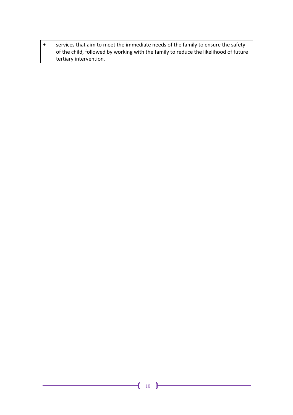• services that aim to meet the immediate needs of the family to ensure the safety of the child, followed by working with the family to reduce the likelihood of future tertiary intervention.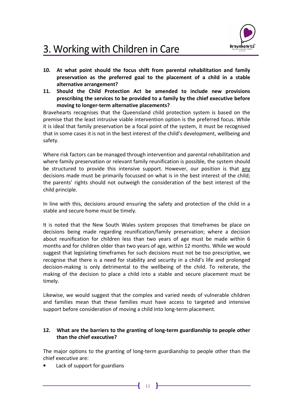

# 3. Working with Children in Care

- 10. At what point should the focus shift from parental rehabilitation and family preservation as the preferred goal to the placement of a child in a stable alternative arrangement?
- 11. Should the Child Protection Act be amended to include new provisions prescribing the services to be provided to a family by the chief executive before moving to longer-term alternative placements?

Bravehearts recognises that the Queensland child protection system is based on the premise that the least intrusive viable intervention option is the preferred focus. While it is ideal that family preservation be a focal point of the system, it must be recognised that in some cases it is not in the best interest of the child's development, wellbeing and safety.

Where risk factors can be managed through intervention and parental rehabilitation and where family preservation or relevant family reunification is possible, the system should be structured to provide this intensive support. However, our position is that any decisions made must be primarily focussed on what is in the best interest of the child; the parents' rights should not outweigh the consideration of the best interest of the child principle.

In line with this, decisions around ensuring the safety and protection of the child in a stable and secure home must be timely.

It is noted that the New South Wales system proposes that timeframes be place on decisions being made regarding reunification/family preservation; where a decision about reunification for children less than two years of age must be made within 6 months and for children older than two years of age, within 12 months. While we would suggest that legislating timeframes for such decisions must not be too prescriptive, we recognise that there is a need for stability and security in a child's life and prolonged decision-making is only detrimental to the wellbeing of the child. To reiterate, the making of the decision to place a child into a stable and secure placement must be timely.

Likewise, we would suggest that the complex and varied needs of vulnerable children and families mean that these families must have access to targeted and intensive support before consideration of moving a child into long-term placement.

#### 12. What are the barriers to the granting of long-term guardianship to people other than the chief executive?

The major options to the granting of long-term guardianship to people other than the chief executive are:

Lack of support for guardians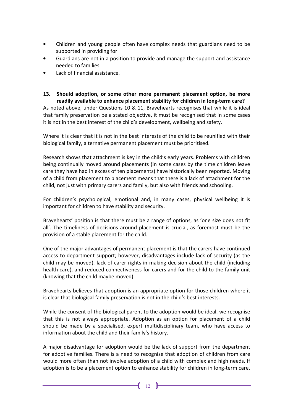- Children and young people often have complex needs that guardians need to be supported in providing for
- Guardians are not in a position to provide and manage the support and assistance needed to families
- Lack of financial assistance.
- 13. Should adoption, or some other more permanent placement option, be more readily available to enhance placement stability for children in long-term care? As noted above, under Questions 10 & 11, Bravehearts recognises that while it is ideal that family preservation be a stated objective, it must be recognised that in some cases it is not in the best interest of the child's development, wellbeing and safety.

Where it is clear that it is not in the best interests of the child to be reunified with their biological family, alternative permanent placement must be prioritised.

Research shows that attachment is key in the child's early years. Problems with children being continually moved around placements (in some cases by the time children leave care they have had in excess of ten placements) have historically been reported. Moving of a child from placement to placement means that there is a lack of attachment for the child, not just with primary carers and family, but also with friends and schooling.

For children's psychological, emotional and, in many cases, physical wellbeing it is important for children to have stability and security.

Bravehearts' position is that there must be a range of options, as 'one size does not fit all'. The timeliness of decisions around placement is crucial, as foremost must be the provision of a stable placement for the child.

One of the major advantages of permanent placement is that the carers have continued access to department support; however, disadvantages include lack of security (as the child may be moved), lack of carer rights in making decision about the child (including health care), and reduced connectiveness for carers and for the child to the family unit (knowing that the child maybe moved).

Bravehearts believes that adoption is an appropriate option for those children where it is clear that biological family preservation is not in the child's best interests.

While the consent of the biological parent to the adoption would be ideal, we recognise that this is not always appropriate. Adoption as an option for placement of a child should be made by a specialised, expert multidisciplinary team, who have access to information about the child and their family's history.

A major disadvantage for adoption would be the lack of support from the department for adoptive families. There is a need to recognise that adoption of children from care would more often than not involve adoption of a child with complex and high needs. If adoption is to be a placement option to enhance stability for children in long-term care,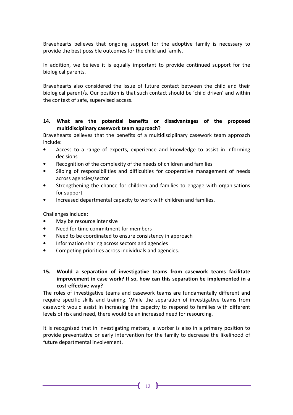Bravehearts believes that ongoing support for the adoptive family is necessary to provide the best possible outcomes for the child and family.

In addition, we believe it is equally important to provide continued support for the biological parents.

Bravehearts also considered the issue of future contact between the child and their biological parent/s. Our position is that such contact should be 'child driven' and within the context of safe, supervised access.

#### 14. What are the potential benefits or disadvantages of the proposed multidisciplinary casework team approach?

Bravehearts believes that the benefits of a multidisciplinary casework team approach include:

- Access to a range of experts, experience and knowledge to assist in informing decisions
- Recognition of the complexity of the needs of children and families
- Siloing of responsibilities and difficulties for cooperative management of needs across agencies/sector
- Strengthening the chance for children and families to engage with organisations for support
- Increased departmental capacity to work with children and families.

Challenges include:

- May be resource intensive
- Need for time commitment for members
- Need to be coordinated to ensure consistency in approach
- Information sharing across sectors and agencies
- Competing priorities across individuals and agencies.
- 15. Would a separation of investigative teams from casework teams facilitate improvement in case work? If so, how can this separation be implemented in a cost-effective way?

The roles of investigative teams and casework teams are fundamentally different and require specific skills and training. While the separation of investigative teams from casework would assist in increasing the capacity to respond to families with different levels of risk and need, there would be an increased need for resourcing.

It is recognised that in investigating matters, a worker is also in a primary position to provide preventative or early intervention for the family to decrease the likelihood of future departmental involvement.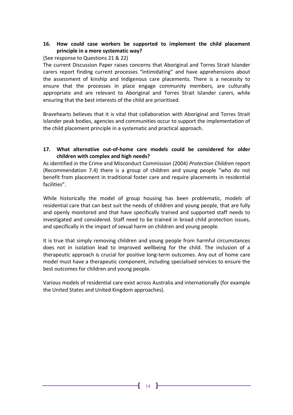#### 16. How could case workers be supported to implement the child placement principle in a more systematic way?

#### (See response to Questions 21 & 22)

The current Discussion Paper raises concerns that Aboriginal and Torres Strait Islander carers report finding current processes "intimidating" and have apprehensions about the assessment of kinship and Indigenous care placements. There is a necessity to ensure that the processes in place engage community members, are culturally appropriate and are relevant to Aboriginal and Torres Strait Islander carers, while ensuring that the best interests of the child are prioritised.

Bravehearts believes that it is vital that collaboration with Aboriginal and Torres Strait Islander peak bodies, agencies and communities occur to support the implementation of the child placement principle in a systematic and practical approach.

#### 17. What alternative out-of-home care models could be considered for older children with complex and high needs?

As identified in the Crime and Misconduct Commission (2004) Protection Children report (Recommendation 7.4) there is a group of children and young people "who do not benefit from placement in traditional foster care and require placements in residential facilities".

While historically the model of group housing has been problematic, models of residential care that can best suit the needs of children and young people, that are fully and openly monitored and that have specifically trained and supported staff needs to investigated and considered. Staff need to be trained in broad child protection issues, and specifically in the impact of sexual harm on children and young people.

It is true that simply removing children and young people from harmful circumstances does not in isolation lead to improved wellbeing for the child. The inclusion of a therapeutic approach is crucial for positive long-term outcomes. Any out of home care model must have a therapeutic component, including specialised services to ensure the best outcomes for children and young people.

Various models of residential care exist across Australia and internationally (for example the United States and United Kingdom approaches).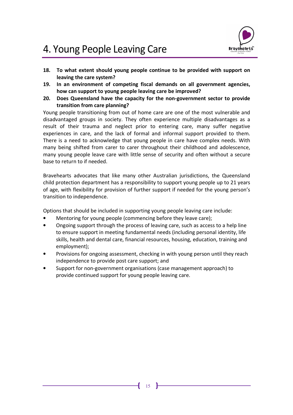

# 4. Young People Leaving Care

- 18. To what extent should young people continue to be provided with support on leaving the care system?
- 19. In an environment of competing fiscal demands on all government agencies, how can support to young people leaving care be improved?
- 20. Does Queensland have the capacity for the non-government sector to provide transition from care planning?

Young people transitioning from out of home care are one of the most vulnerable and disadvantaged groups in society. They often experience multiple disadvantages as a result of their trauma and neglect prior to entering care, many suffer negative experiences in care, and the lack of formal and informal support provided to them. There is a need to acknowledge that young people in care have complex needs. With many being shifted from carer to carer throughout their childhood and adolescence, many young people leave care with little sense of security and often without a secure base to return to if needed.

Bravehearts advocates that like many other Australian jurisdictions, the Queensland child protection department has a responsibility to support young people up to 21 years of age, with flexibility for provision of further support if needed for the young person's transition to independence.

Options that should be included in supporting young people leaving care include:

- Mentoring for young people (commencing before they leave care);
- Ongoing support through the process of leaving care, such as access to a help line to ensure support in meeting fundamental needs (including personal identity, life skills, health and dental care, financial resources, housing, education, training and employment);
- Provisions for ongoing assessment, checking in with young person until they reach independence to provide post care support; and
- Support for non-government organisations (case management approach) to provide continued support for young people leaving care.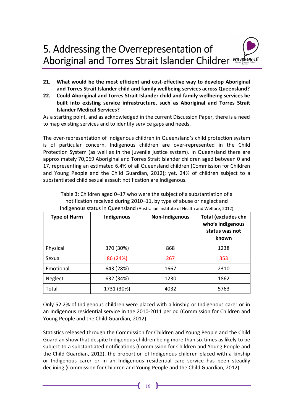- 21. What would be the most efficient and cost-effective way to develop Aboriginal and Torres Strait Islander child and family wellbeing services across Queensland?
- 22. Could Aboriginal and Torres Strait Islander child and family wellbeing services be built into existing service infrastructure, such as Aboriginal and Torres Strait Islander Medical Services?

As a starting point, and as acknowledged in the current Discussion Paper, there is a need to map existing services and to identify service gaps and needs.

The over-representation of Indigenous children in Queensland's child protection system is of particular concern. Indigenous children are over-represented in the Child Protection System (as well as in the juvenile justice system). In Queensland there are approximately 70,069 Aboriginal and Torres Strait Islander children aged between 0 and 17, representing an estimated 6.4% of all Queensland children (Commission for Children and Young People and the Child Guardian, 2012); yet, 24% of children subject to a substantiated child sexual assault notification are Indigenous.

Table 3: Children aged 0–17 who were the subject of a substantiation of a notification received during 2010–11, by type of abuse or neglect and Indigenous status in Queensland (Australian Institute of Health and Welfare, 2012)

| <b>Type of Harm</b> | Indigenous | <b>Non-Indigenous</b> | <b>Total (excludes chn</b><br>who's indigenous<br>status was not<br>known |
|---------------------|------------|-----------------------|---------------------------------------------------------------------------|
| Physical            | 370 (30%)  | 868                   | 1238                                                                      |
| Sexual              | 86 (24%)   | 267                   | 353                                                                       |
| Emotional           | 643 (28%)  | 1667                  | 2310                                                                      |
| Neglect             | 632 (34%)  | 1230                  | 1862                                                                      |
| Total               | 1731 (30%) | 4032                  | 5763                                                                      |

Only 52.2% of Indigenous children were placed with a kinship or Indigenous carer or in an Indigenous residential service in the 2010-2011 period (Commission for Children and Young People and the Child Guardian, 2012).

Statistics released through the Commission for Children and Young People and the Child Guardian show that despite Indigenous children being more than six times as likely to be subject to a substantiated notifications (Commission for Children and Young People and the Child Guardian, 2012), the proportion of Indigenous children placed with a kinship or Indigenous carer or in an Indigenous residential care service has been steadily declining (Commission for Children and Young People and the Child Guardian, 2012).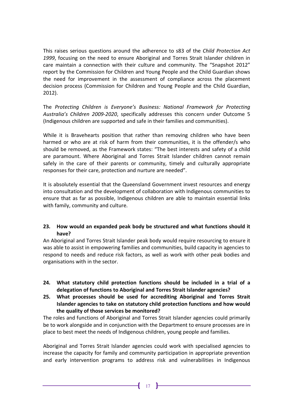This raises serious questions around the adherence to s83 of the Child Protection Act 1999, focusing on the need to ensure Aboriginal and Torres Strait Islander children in care maintain a connection with their culture and community. The "Snapshot 2012" report by the Commission for Children and Young People and the Child Guardian shows the need for improvement in the assessment of compliance across the placement decision process (Commission for Children and Young People and the Child Guardian, 2012).

The Protecting Children is Everyone's Business: National Framework for Protecting Australia's Children 2009-2020, specifically addresses this concern under Outcome 5 (Indigenous children are supported and safe in their families and communities).

While it is Bravehearts position that rather than removing children who have been harmed or who are at risk of harm from their communities, it is the offender/s who should be removed, as the Framework states: "The best interests and safety of a child are paramount. Where Aboriginal and Torres Strait Islander children cannot remain safely in the care of their parents or community, timely and culturally appropriate responses for their care, protection and nurture are needed".

It is absolutely essential that the Queensland Government invest resources and energy into consultation and the development of collaboration with Indigenous communities to ensure that as far as possible, Indigenous children are able to maintain essential links with family, community and culture.

#### 23. How would an expanded peak body be structured and what functions should it have?

An Aboriginal and Torres Strait Islander peak body would require resourcing to ensure it was able to assist in empowering families and communities, build capacity in agencies to respond to needs and reduce risk factors, as well as work with other peak bodies and organisations with in the sector.

- 24. What statutory child protection functions should be included in a trial of a delegation of functions to Aboriginal and Torres Strait Islander agencies?
- 25. What processes should be used for accrediting Aboriginal and Torres Strait Islander agencies to take on statutory child protection functions and how would the quality of those services be monitored?

The roles and functions of Aboriginal and Torres Strait Islander agencies could primarily be to work alongside and in conjunction with the Department to ensure processes are in place to best meet the needs of Indigenous children, young people and families.

Aboriginal and Torres Strait Islander agencies could work with specialised agencies to increase the capacity for family and community participation in appropriate prevention and early intervention programs to address risk and vulnerabilities in Indigenous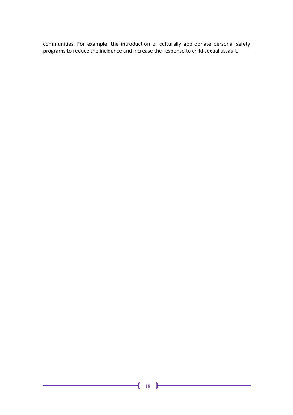communities. For example, the introduction of culturally appropriate personal safety programs to reduce the incidence and increase the response to child sexual assault.

<u> 1990 - Johann Barnett, fransk politiker</u>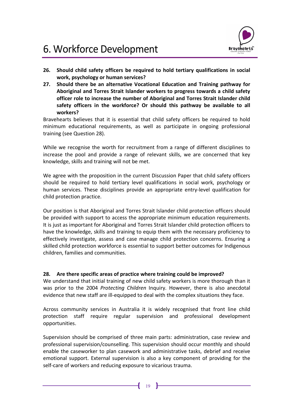

- 26. Should child safety officers be required to hold tertiary qualifications in social work, psychology or human services?
- 27. Should there be an alternative Vocational Education and Training pathway for Aboriginal and Torres Strait Islander workers to progress towards a child safety officer role to increase the number of Aboriginal and Torres Strait Islander child safety officers in the workforce? Or should this pathway be available to all workers?

Bravehearts believes that it is essential that child safety officers be required to hold minimum educational requirements, as well as participate in ongoing professional training (see Question 28).

While we recognise the worth for recruitment from a range of different disciplines to increase the pool and provide a range of relevant skills, we are concerned that key knowledge, skills and training will not be met.

We agree with the proposition in the current Discussion Paper that child safety officers should be required to hold tertiary level qualifications in social work, psychology or human services. These disciplines provide an appropriate entry-level qualification for child protection practice.

Our position is that Aboriginal and Torres Strait Islander child protection officers should be provided with support to access the appropriate minimum education requirements. It is just as important for Aboriginal and Torres Strait Islander child protection officers to have the knowledge, skills and training to equip them with the necessary proficiency to effectively investigate, assess and case manage child protection concerns. Ensuring a skilled child protection workforce is essential to support better outcomes for Indigenous children, families and communities.

#### 28. Are there specific areas of practice where training could be improved?

We understand that initial training of new child safety workers is more thorough than it was prior to the 2004 Protecting Children Inquiry. However, there is also anecdotal evidence that new staff are ill-equipped to deal with the complex situations they face.

Across community services in Australia it is widely recognised that front line child protection staff require regular supervision and professional development opportunities.

Supervision should be comprised of three main parts: administration, case review and professional supervision/counselling. This supervision should occur monthly and should enable the caseworker to plan casework and administrative tasks, debrief and receive emotional support. External supervision is also a key component of providing for the self-care of workers and reducing exposure to vicarious trauma.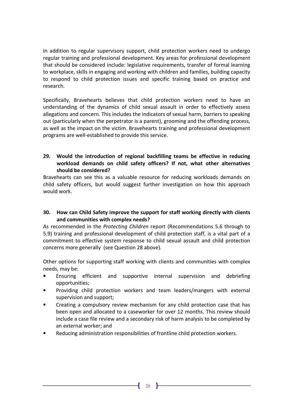In addition to regular supervisory support, child protection workers need to undergo regular training and professional development. Key areas for professional development that should be considered include: legislative requirements, transfer of formal learning to workplace, skills in engaging and working with children and families, building capacity to respond to child protection issues and specific training based on practice and research.

Specifically, Bravehearts believes that child protection workers need to have an understanding of the dynamics of child sexual assault in order to effectively assess allegations and concern. This includes the indicators of sexual harm, barriers to speaking out (particularly when the perpetrator is a parent), grooming and the offending process, as well as the impact on the victim. Bravehearts training and professional development programs are well-established to provide this service.

#### 29. Would the introduction of regional backfilling teams be effective in reducing workload demands on child safety officers? If not, what other alternatives should be considered?

Bravehearts can see this as a valuable resource for reducing workloads demands on child safety officers, but would suggest further investigation on how this approach would work.

#### 30. How can Child Safety improve the support for staff working directly with clients and communities with complex needs?

As recommended in the Protecting Children report (Recommendations 5.6 through to 5.9) training and professional development of child protection staff, is a vital part of a commitment to effective system response to child sexual assault and child protection concerns more generally (see Question 28 above).

Other options for supporting staff working with clients and communities with complex needs, may be:

- Ensuring efficient and supportive internal supervision and debriefing opportunities;
- Providing child protection workers and team leaders/mangers with external supervision and support;
- Creating a compulsory review mechanism for any child protection case that has been open and allocated to a caseworker for over 12 months. This review should include a case file review and a secondary risk of harm analysis to be completed by an external worker; and
- Reducing administration responsibilities of frontline child protection workers.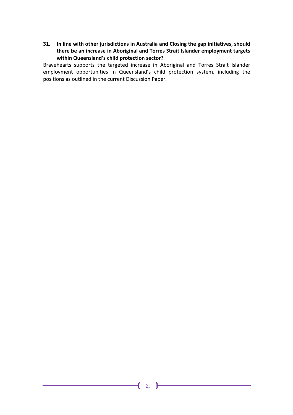31. In line with other jurisdictions in Australia and Closing the gap initiatives, should there be an increase in Aboriginal and Torres Strait Islander employment targets within Queensland's child protection sector?

Bravehearts supports the targeted increase in Aboriginal and Torres Strait Islander employment opportunities in Queensland's child protection system, including the positions as outlined in the current Discussion Paper.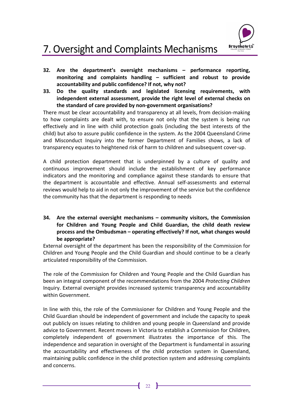

# 7. Oversight and Complaints Mechanisms

- 32. Are the department's oversight mechanisms performance reporting, monitoring and complaints handling – sufficient and robust to provide accountability and public confidence? If not, why not?
- 33. Do the quality standards and legislated licensing requirements, with independent external assessment, provide the right level of external checks on the standard of care provided by non-government organisations?

There must be clear accountability and transparency at all levels, from decision-making to how complaints are dealt with, to ensure not only that the system is being run effectively and in line with child protection goals (including the best interests of the child) but also to assure public confidence in the system. As the 2004 Queensland Crime and Misconduct Inquiry into the former Department of Families shows, a lack of transparency equates to heightened risk of harm to children and subsequent cover-up.

A child protection department that is underpinned by a culture of quality and continuous improvement should include the establishment of key performance indicators and the monitoring and compliance against these standards to ensure that the department is accountable and effective. Annual self-assessments and external reviews would help to aid in not only the improvement of the service but the confidence the community has that the department is responding to needs

34. Are the external oversight mechanisms – community visitors, the Commission for Children and Young People and Child Guardian, the child death review process and the Ombudsman – operating effectively? If not, what changes would be appropriate?

External oversight of the department has been the responsibility of the Commission for Children and Young People and the Child Guardian and should continue to be a clearly articulated responsibility of the Commission.

The role of the Commission for Children and Young People and the Child Guardian has been an integral component of the recommendations from the 2004 Protecting Children Inquiry. External oversight provides increased systemic transparency and accountability within Government.

In line with this, the role of the Commissioner for Children and Young People and the Child Guardian should be independent of government and include the capacity to speak out publicly on issues relating to children and young people in Queensland and provide advice to Government. Recent moves in Victoria to establish a Commission for Children, completely independent of government illustrates the importance of this. The independence and separation in oversight of the Department is fundamental in assuring the accountability and effectiveness of the child protection system in Queensland, maintaining public confidence in the child protection system and addressing complaints and concerns.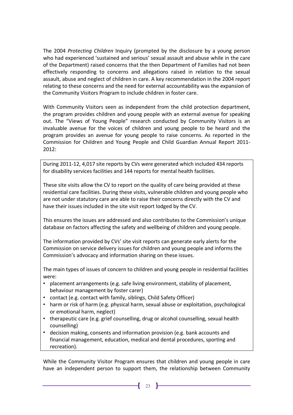The 2004 Protecting Children Inquiry (prompted by the disclosure by a young person who had experienced 'sustained and serious' sexual assault and abuse while in the care of the Department) raised concerns that the then Department of Families had not been effectively responding to concerns and allegations raised in relation to the sexual assault, abuse and neglect of children in care. A key recommendation in the 2004 report relating to these concerns and the need for external accountability was the expansion of the Community Visitors Program to include children in foster care.

With Community Visitors seen as independent from the child protection department, the program provides children and young people with an external avenue for speaking out. The "Views of Young People" research conducted by Community Visitors is an invaluable avenue for the voices of children and young people to be heard and the program provides an avenue for young people to raise concerns. As reported in the Commission for Children and Young People and Child Guardian Annual Report 2011- 2012:

During 2011-12, 4,017 site reports by CVs were generated which included 434 reports for disability services facilities and 144 reports for mental health facilities.

These site visits allow the CV to report on the quality of care being provided at these residential care facilities. During these visits, vulnerable children and young people who are not under statutory care are able to raise their concerns directly with the CV and have their issues included in the site visit report lodged by the CV.

This ensures the issues are addressed and also contributes to the Commission's unique database on factors affecting the safety and wellbeing of children and young people.

The information provided by CVs' site visit reports can generate early alerts for the Commission on service delivery issues for children and young people and informs the Commission's advocacy and information sharing on these issues.

The main types of issues of concern to children and young people in residential facilities were:

- placement arrangements (e.g. safe living environment, stability of placement, behaviour management by foster carer)
- contact (e.g. contact with family, siblings, Child Safety Officer)
- harm or risk of harm (e.g. physical harm, sexual abuse or exploitation, psychological or emotional harm, neglect)
- therapeutic care (e.g. grief counselling, drug or alcohol counselling, sexual health counselling)
- decision making, consents and information provision (e.g. bank accounts and financial management, education, medical and dental procedures, sporting and recreation).

While the Community Visitor Program ensures that children and young people in care have an independent person to support them, the relationship between Community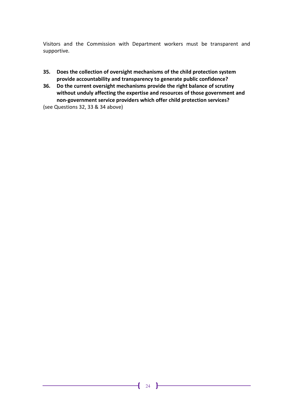Visitors and the Commission with Department workers must be transparent and supportive.

- 35. Does the collection of oversight mechanisms of the child protection system provide accountability and transparency to generate public confidence?
- 36. Do the current oversight mechanisms provide the right balance of scrutiny without unduly affecting the expertise and resources of those government and non-government service providers which offer child protection services?

(see Questions 32, 33 & 34 above)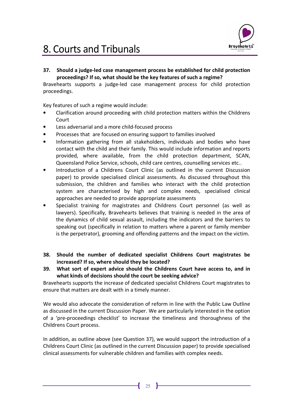

# 8. Courts and Tribunals

37. Should a judge-led case management process be established for child protection proceedings? If so, what should be the key features of such a regime?

Bravehearts supports a judge-led case management process for child protection proceedings.

Key features of such a regime would include:

- Clarification around proceeding with child protection matters within the Childrens Court
- Less adversarial and a more child-focused process
- Processes that are focused on ensuring support to families involved
- Information gathering from all stakeholders, individuals and bodies who have contact with the child and their family. This would include information and reports provided, where available, from the child protection department, SCAN, Queensland Police Service, schools, child care centres, counselling services etc..
- Introduction of a Childrens Court Clinic (as outlined in the current Discussion paper) to provide specialised clinical assessments. As discussed throughout this submission, the children and families who interact with the child protection system are characterised by high and complex needs, specialised clinical approaches are needed to provide appropriate assessments
- Specialist training for magistrates and Childrens Court personnel (as well as lawyers). Specifically, Bravehearts believes that training is needed in the area of the dynamics of child sexual assault, including the indicators and the barriers to speaking out (specifically in relation to matters where a parent or family member is the perpetrator), grooming and offending patterns and the impact on the victim.
- 38. Should the number of dedicated specialist Childrens Court magistrates be increased? If so, where should they be located?
- 39. What sort of expert advice should the Childrens Court have access to, and in what kinds of decisions should the court be seeking advice?

Bravehearts supports the increase of dedicated specialist Childrens Court magistrates to ensure that matters are dealt with in a timely manner.

We would also advocate the consideration of reform in line with the Public Law Outline as discussed in the current Discussion Paper. We are particularly interested in the option of a 'pre-proceedings checklist' to increase the timeliness and thoroughness of the Childrens Court process.

In addition, as outline above (see Question 37), we would support the introduction of a Childrens Court Clinic (as outlined in the current Discussion paper) to provide specialised clinical assessments for vulnerable children and families with complex needs.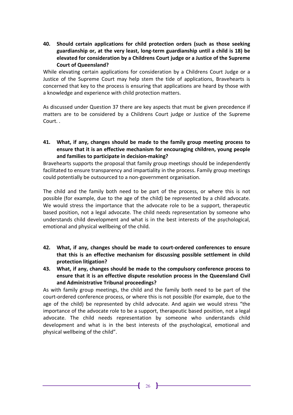40. Should certain applications for child protection orders (such as those seeking guardianship or, at the very least, long-term guardianship until a child is 18) be elevated for consideration by a Childrens Court judge or a Justice of the Supreme Court of Queensland?

While elevating certain applications for consideration by a Childrens Court Judge or a Justice of the Supreme Court may help stem the tide of applications, Bravehearts is concerned that key to the process is ensuring that applications are heard by those with a knowledge and experience with child protection matters.

As discussed under Question 37 there are key aspects that must be given precedence if matters are to be considered by a Childrens Court judge or Justice of the Supreme Court. .

41. What, if any, changes should be made to the family group meeting process to ensure that it is an effective mechanism for encouraging children, young people and families to participate in decision-making?

Bravehearts supports the proposal that family group meetings should be independently facilitated to ensure transparency and impartiality in the process. Family group meetings could potentially be outsourced to a non-government organisation.

The child and the family both need to be part of the process, or where this is not possible (for example, due to the age of the child) be represented by a child advocate. We would stress the importance that the advocate role to be a support, therapeutic based position, not a legal advocate. The child needs representation by someone who understands child development and what is in the best interests of the psychological, emotional and physical wellbeing of the child.

- 42. What, if any, changes should be made to court-ordered conferences to ensure that this is an effective mechanism for discussing possible settlement in child protection litigation?
- 43. What, if any, changes should be made to the compulsory conference process to ensure that it is an effective dispute resolution process in the Queensland Civil and Administrative Tribunal proceedings?

As with family group meetings, the child and the family both need to be part of the court-ordered conference process, or where this is not possible (for example, due to the age of the child) be represented by child advocate. And again we would stress "the importance of the advocate role to be a support, therapeutic based position, not a legal advocate. The child needs representation by someone who understands child development and what is in the best interests of the psychological, emotional and physical wellbeing of the child".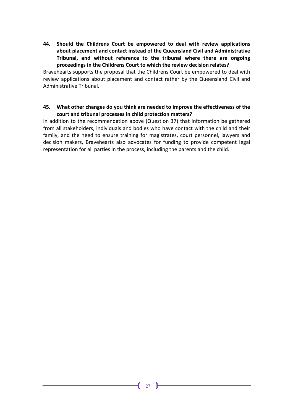44. Should the Childrens Court be empowered to deal with review applications about placement and contact instead of the Queensland Civil and Administrative Tribunal, and without reference to the tribunal where there are ongoing proceedings in the Childrens Court to which the review decision relates?

Bravehearts supports the proposal that the Childrens Court be empowered to deal with review applications about placement and contact rather by the Queensland Civil and Administrative Tribunal.

#### 45. What other changes do you think are needed to improve the effectiveness of the court and tribunal processes in child protection matters?

In addition to the recommendation above (Question 37) that information be gathered from all stakeholders, individuals and bodies who have contact with the child and their family, and the need to ensure training for magistrates, court personnel, lawyers and decision makers, Bravehearts also advocates for funding to provide competent legal representation for all parties in the process, including the parents and the child.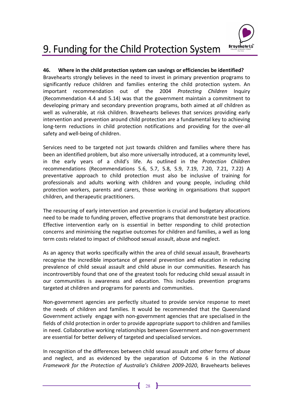

# 9. Funding for the Child Protection System

#### 46. Where in the child protection system can savings or efficiencies be identified?

Bravehearts strongly believes in the need to invest in primary prevention programs to significantly reduce children and families entering the child protection system. An important recommendation out of the 2004 Protecting Children Inquiry (Recommendation 4.4 and 5.14) was that the government maintain a commitment to developing primary and secondary prevention programs, both aimed at all children as well as vulnerable, at risk children. Bravehearts believes that services providing early intervention and prevention around child protection are a fundamental key to achieving long-term reductions in child protection notifications and providing for the over-all safety and well-being of children.

Services need to be targeted not just towards children and families where there has been an identified problem, but also more universally introduced, at a community level, in the early years of a child's life. As outlined in the Protection Children recommendations (Recommendations 5.6, 5.7, 5.8, 5.9, 7.19, 7.20, 7.21, 7.22) A preventative approach to child protection must also be inclusive of training for professionals and adults working with children and young people, including child protection workers, parents and carers, those working in organisations that support children, and therapeutic practitioners.

The resourcing of early intervention and prevention is crucial and budgetary allocations need to be made to funding proven, effective programs that demonstrate best practice. Effective intervention early on is essential in better responding to child protection concerns and minimising the negative outcomes for children and families, a well as long term costs related to impact of childhood sexual assault, abuse and neglect.

As an agency that works specifically within the area of child sexual assault, Bravehearts recognise the incredible importance of general prevention and education in reducing prevalence of child sexual assault and child abuse in our communities. Research has incontrovertibly found that one of the greatest tools for reducing child sexual assault in our communities is awareness and education. This includes prevention programs targeted at children and programs for parents and communities.

Non-government agencies are perfectly situated to provide service response to meet the needs of children and families. It would be recommended that the Queensland Government actively engage with non-government agencies that are specialised in the fields of child protection in order to provide appropriate support to children and families in need. Collaborative working relationships between Government and non-government are essential for better delivery of targeted and specialised services.

In recognition of the differences between child sexual assault and other forms of abuse and neglect, and as evidenced by the separation of Outcome 6 in the National Framework for the Protection of Australia's Children 2009-2020, Bravehearts believes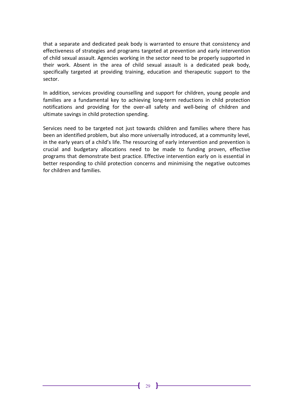that a separate and dedicated peak body is warranted to ensure that consistency and effectiveness of strategies and programs targeted at prevention and early intervention of child sexual assault. Agencies working in the sector need to be properly supported in their work. Absent in the area of child sexual assault is a dedicated peak body, specifically targeted at providing training, education and therapeutic support to the sector.

In addition, services providing counselling and support for children, young people and families are a fundamental key to achieving long-term reductions in child protection notifications and providing for the over-all safety and well-being of children and ultimate savings in child protection spending.

Services need to be targeted not just towards children and families where there has been an identified problem, but also more universally introduced, at a community level, in the early years of a child's life. The resourcing of early intervention and prevention is crucial and budgetary allocations need to be made to funding proven, effective programs that demonstrate best practice. Effective intervention early on is essential in better responding to child protection concerns and minimising the negative outcomes for children and families.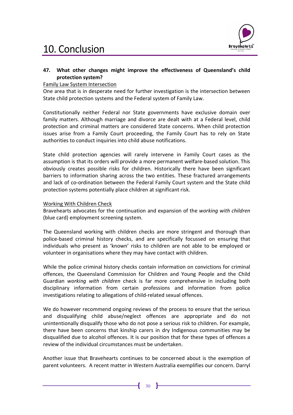# 10. Conclusion



#### 47. What other changes might improve the effectiveness of Queensland's child protection system?

#### Family Law System Intersection

One area that is in desperate need for further investigation is the intersection between State child protection systems and the Federal system of Family Law.

Constitutionally neither Federal nor State governments have exclusive domain over family matters. Although marriage and divorce are dealt with at a Federal level, child protection and criminal matters are considered State concerns. When child protection issues arise from a Family Court proceeding, the Family Court has to rely on State authorities to conduct inquiries into child abuse notifications.

State child protection agencies will rarely intervene in Family Court cases as the assumption is that its orders will provide a more permanent welfare-based solution. This obviously creates possible risks for children. Historically there have been significant barriers to information sharing across the two entities. These fractured arrangements and lack of co-ordination between the Federal Family Court system and the State child protection systems potentially place children at significant risk.

#### Working With Children Check

Bravehearts advocates for the continuation and expansion of the working with children (blue card) employment screening system.

The Queensland working with children checks are more stringent and thorough than police-based criminal history checks, and are specifically focussed on ensuring that individuals who present as 'known' risks to children are not able to be employed or volunteer in organisations where they may have contact with children.

While the police criminal history checks contain information on convictions for criminal offences, the Queensland Commission for Children and Young People and the Child Guardian working with children check is far more comprehensive in including both disciplinary information from certain professions and information from police investigations relating to allegations of child-related sexual offences.

We do however recommend ongoing reviews of the process to ensure that the serious and disqualifying child abuse/neglect offences are appropriate and do not unintentionally disqualify those who do not pose a serious risk to children. For example, there have been concerns that kinship carers in dry Indigenous communities may be disqualified due to alcohol offences. It is our position that for these types of offences a review of the individual circumstances must be undertaken.

Another issue that Bravehearts continues to be concerned about is the exemption of parent volunteers. A recent matter in Western Australia exemplifies our concern. Darryl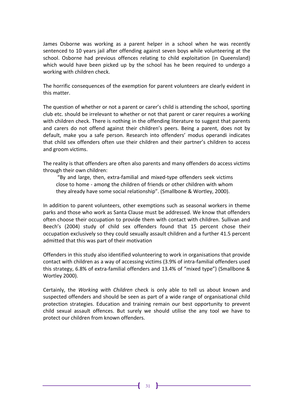James Osborne was working as a parent helper in a school when he was recently sentenced to 10 years jail after offending against seven boys while volunteering at the school. Osborne had previous offences relating to child exploitation (in Queensland) which would have been picked up by the school has he been required to undergo a working with children check.

The horrific consequences of the exemption for parent volunteers are clearly evident in this matter.

The question of whether or not a parent or carer's child is attending the school, sporting club etc. should be irrelevant to whether or not that parent or carer requires a working with children check. There is nothing in the offending literature to suggest that parents and carers do not offend against their children's peers. Being a parent, does not by default, make you a safe person. Research into offenders' modus operandi indicates that child sex offenders often use their children and their partner's children to access and groom victims.

The reality is that offenders are often also parents and many offenders do access victims through their own children:

 "By and large, then, extra-familial and mixed-type offenders seek victims close to home - among the children of friends or other children with whom they already have some social relationship". (Smallbone & Wortley, 2000).

In addition to parent volunteers, other exemptions such as seasonal workers in theme parks and those who work as Santa Clause must be addressed. We know that offenders often choose their occupation to provide them with contact with children. Sullivan and Beech's (2004) study of child sex offenders found that 15 percent chose their occupation exclusively so they could sexually assault children and a further 41.5 percent admitted that this was part of their motivation

Offenders in this study also identified volunteering to work in organisations that provide contact with children as a way of accessing victims (3.9% of intra-familial offenders used this strategy, 6.8% of extra-familial offenders and 13.4% of "mixed type") (Smallbone & Wortley 2000).

Certainly, the Working with Children check is only able to tell us about known and suspected offenders and should be seen as part of a wide range of organisational child protection strategies. Education and training remain our best opportunity to prevent child sexual assault offences. But surely we should utilise the any tool we have to protect our children from known offenders.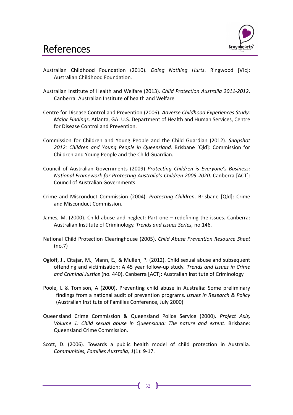

- Australian Childhood Foundation (2010). Doing Nothing Hurts. Ringwood [Vic]: Australian Childhood Foundation.
- Australian Institute of Health and Welfare (2013). Child Protection Australia 2011-2012. Canberra: Australian Institute of health and Welfare
- Centre for Disease Control and Prevention (2006). Adverse Childhood Experiences Study: Major Findings. Atlanta, GA: U.S. Department of Health and Human Services, Centre for Disease Control and Prevention.
- Commission for Children and Young People and the Child Guardian (2012). Snapshot 2012: Children and Young People in Queensland. Brisbane [Qld]: Commission for Children and Young People and the Child Guardian.
- Council of Australian Governments (2009) Protecting Children is Everyone's Business: National Framework for Protecting Australia's Children 2009-2020. Canberra [ACT]: Council of Australian Governments
- Crime and Misconduct Commission (2004). Protecting Children. Brisbane [Qld]: Crime and Misconduct Commission.
- James, M. (2000). Child abuse and neglect: Part one redefining the issues. Canberra: Australian Institute of Criminology. Trends and Issues Series, no.146.
- National Child Protection Clearinghouse (2005). Child Abuse Prevention Resource Sheet (no.7)
- Ogloff, J., Citajar, M., Mann, E., & Mullen, P. (2012). Child sexual abuse and subsequent offending and victimisation: A 45 year follow-up study. Trends and Issues in Crime and Criminal Justice (no. 440). Canberra [ACT]: Australian Institute of Criminology
- Poole, L & Tomison, A (2000). Preventing child abuse in Australia: Some preliminary findings from a national audit of prevention programs. Issues in Research & Policy (Australian Institute of Families Conference, July 2000)
- Queensland Crime Commission & Queensland Police Service (2000). Project Axis, Volume 1: Child sexual abuse in Queensland: The nature and extent. Brisbane: Queensland Crime Commission.
- Scott, D. (2006). Towards a public health model of child protection in Australia. Communities, Families Australia, 1(1): 9-17.